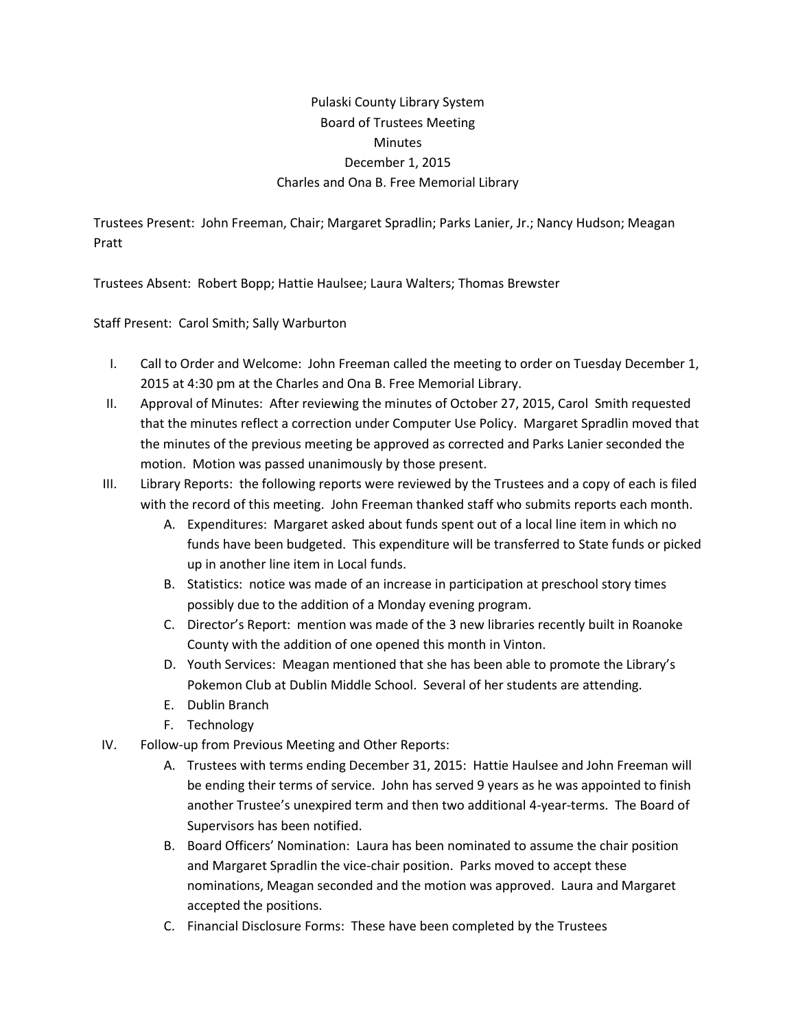## Pulaski County Library System Board of Trustees Meeting **Minutes** December 1, 2015 Charles and Ona B. Free Memorial Library

Trustees Present: John Freeman, Chair; Margaret Spradlin; Parks Lanier, Jr.; Nancy Hudson; Meagan Pratt

Trustees Absent: Robert Bopp; Hattie Haulsee; Laura Walters; Thomas Brewster

Staff Present: Carol Smith; Sally Warburton

- I. Call to Order and Welcome: John Freeman called the meeting to order on Tuesday December 1, 2015 at 4:30 pm at the Charles and Ona B. Free Memorial Library.
- II. Approval of Minutes: After reviewing the minutes of October 27, 2015, Carol Smith requested that the minutes reflect a correction under Computer Use Policy. Margaret Spradlin moved that the minutes of the previous meeting be approved as corrected and Parks Lanier seconded the motion. Motion was passed unanimously by those present.
- III. Library Reports: the following reports were reviewed by the Trustees and a copy of each is filed with the record of this meeting. John Freeman thanked staff who submits reports each month.
	- A. Expenditures: Margaret asked about funds spent out of a local line item in which no funds have been budgeted. This expenditure will be transferred to State funds or picked up in another line item in Local funds.
	- B. Statistics: notice was made of an increase in participation at preschool story times possibly due to the addition of a Monday evening program.
	- C. Director's Report: mention was made of the 3 new libraries recently built in Roanoke County with the addition of one opened this month in Vinton.
	- D. Youth Services: Meagan mentioned that she has been able to promote the Library's Pokemon Club at Dublin Middle School. Several of her students are attending.
	- E. Dublin Branch
	- F. Technology
- IV. Follow-up from Previous Meeting and Other Reports:
	- A. Trustees with terms ending December 31, 2015: Hattie Haulsee and John Freeman will be ending their terms of service. John has served 9 years as he was appointed to finish another Trustee's unexpired term and then two additional 4-year-terms. The Board of Supervisors has been notified.
	- B. Board Officers' Nomination: Laura has been nominated to assume the chair position and Margaret Spradlin the vice-chair position. Parks moved to accept these nominations, Meagan seconded and the motion was approved. Laura and Margaret accepted the positions.
	- C. Financial Disclosure Forms: These have been completed by the Trustees